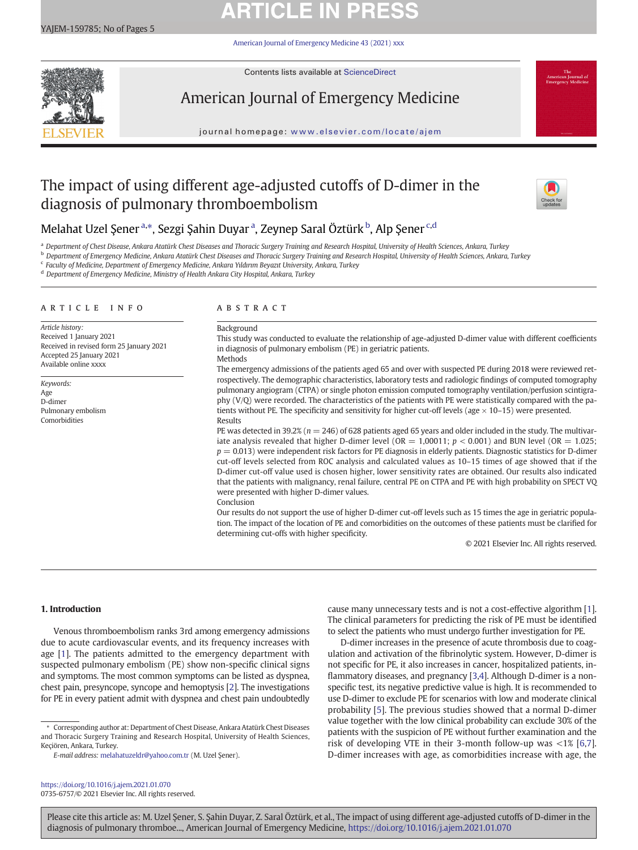# **ARTICLE IN PRES**

[American Journal of Emergency Medicine 43 \(2021\) xxx](https://doi.org/10.1016/j.ajem.2021.01.070)



Contents lists available at ScienceDirect

# American Journal of Emergency Medicine

journal homepage: <www.elsevier.com/locate/ajem>

## The impact of using different age-adjusted cutoffs of D-dimer in the diagnosis of pulmonary thromboembolism



## Melahat Uzel Şener<sup>a,\*</sup>, Sezgi Şahin Duyar<sup>a</sup>, Zeynep Saral Öztürk<sup>b</sup>, Alp Şener<sup>c,d</sup>

a Department of Chest Disease, Ankara Atatürk Chest Diseases and Thoracic Surgery Training and Research Hospital, University of Health Sciences, Ankara, Turkey

**b Department of Emergency Medicine, Ankara Atatürk Chest Diseases and Thoracic Surgery Training and Research Hospital, University of Health Sciences, Ankara, Turkey** 

<sup>c</sup> Faculty of Medicine, Department of Emergency Medicine, Ankara Yıldırım Beyazıt University, Ankara, Turkey

<sup>d</sup> Department of Emergency Medicine, Ministry of Health Ankara City Hospital, Ankara, Turkey

### article info abstract

Article history: Received 1 January 2021 Received in revised form 25 January 2021 Accepted 25 January 2021 Available online xxxx

Keywords: Age D-dimer Pulmonary embolism Comorbidities

Background

This study was conducted to evaluate the relationship of age-adjusted D-dimer value with different coefficients in diagnosis of pulmonary embolism (PE) in geriatric patients.

**Methods** 

The emergency admissions of the patients aged 65 and over with suspected PE during 2018 were reviewed retrospectively. The demographic characteristics, laboratory tests and radiologic findings of computed tomography pulmonary angiogram (CTPA) or single photon emission computed tomography ventilation/perfusion scintigraphy (V/Q) were recorded. The characteristics of the patients with PE were statistically compared with the patients without PE. The specificity and sensitivity for higher cut-off levels (age  $\times$  10-15) were presented. Results

PE was detected in 39.2% ( $n = 246$ ) of 628 patients aged 65 years and older included in the study. The multivariate analysis revealed that higher D-dimer level (OR = 1,00011;  $p < 0.001$ ) and BUN level (OR = 1.025;  $p = 0.013$ ) were independent risk factors for PE diagnosis in elderly patients. Diagnostic statistics for D-dimer cut-off levels selected from ROC analysis and calculated values as 10–15 times of age showed that if the D-dimer cut-off value used is chosen higher, lower sensitivity rates are obtained. Our results also indicated that the patients with malignancy, renal failure, central PE on CTPA and PE with high probability on SPECT VQ were presented with higher D-dimer values. Conclusion

Our results do not support the use of higher D-dimer cut-off levels such as 15 times the age in geriatric population. The impact of the location of PE and comorbidities on the outcomes of these patients must be clarified for determining cut-offs with higher specificity.

© 2021 Elsevier Inc. All rights reserved.

### 1. Introduction

Venous thromboembolism ranks 3rd among emergency admissions due to acute cardiovascular events, and its frequency increases with age [[1\]](#page-4-0). The patients admitted to the emergency department with suspected pulmonary embolism (PE) show non-specific clinical signs and symptoms. The most common symptoms can be listed as dyspnea, chest pain, presyncope, syncope and hemoptysis [\[2\]](#page-4-0). The investigations for PE in every patient admit with dyspnea and chest pain undoubtedly

⁎ Corresponding author at: Department of Chest Disease, Ankara Atatürk Chest Diseases and Thoracic Surgery Training and Research Hospital, University of Health Sciences, Keçiören, Ankara, Turkey.

<https://doi.org/10.1016/j.ajem.2021.01.070> 0735-6757/© 2021 Elsevier Inc. All rights reserved. cause many unnecessary tests and is not a cost-effective algorithm [\[1\]](#page-4-0). The clinical parameters for predicting the risk of PE must be identified to select the patients who must undergo further investigation for PE.

D-dimer increases in the presence of acute thrombosis due to coagulation and activation of the fibrinolytic system. However, D-dimer is not specific for PE, it also increases in cancer, hospitalized patients, inflammatory diseases, and pregnancy [\[3,4\]](#page-4-0). Although D-dimer is a nonspecific test, its negative predictive value is high. It is recommended to use D-dimer to exclude PE for scenarios with low and moderate clinical probability [[5](#page-4-0)]. The previous studies showed that a normal D-dimer value together with the low clinical probability can exclude 30% of the patients with the suspicion of PE without further examination and the risk of developing VTE in their 3-month follow-up was <1% [\[6,7](#page-4-0)]. D-dimer increases with age, as comorbidities increase with age, the

Please cite this article as: M. Uzel Şener, S. Şahin Duyar, Z. Saral Öztürk, et al., The impact of using different age-adjusted cutoffs of D-dimer in the diagnosis of pulmonary thromboe..., American Journal of Emergency Medicine, <https://doi.org/10.1016/j.ajem.2021.01.070>

E-mail address: [melahatuzeldr@yahoo.com.tr](mailto:melahatuzeldr@yahoo.com.tr) (M. Uzel Şener).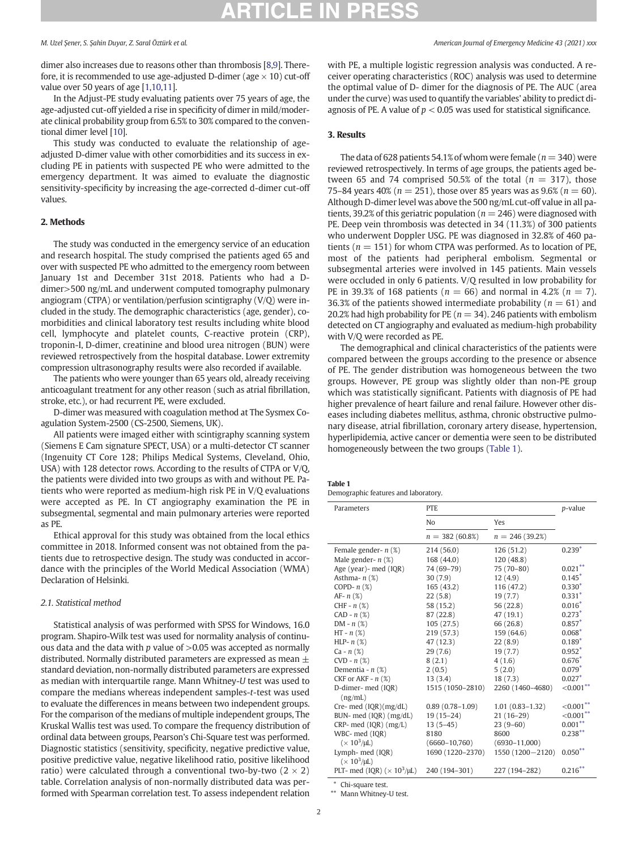<span id="page-1-0"></span>

dimer also increases due to reasons other than thrombosis [[8,9](#page-4-0)]. Therefore, it is recommended to use age-adjusted D-dimer (age  $\times$  10) cut-off value over 50 years of age [\[1,10,11\]](#page-4-0).

In the Adjust-PE study evaluating patients over 75 years of age, the age-adjusted cut-off yielded a rise in specificity of dimer in mild/moderate clinical probability group from 6.5% to 30% compared to the conventional dimer level [\[10](#page-4-0)].

This study was conducted to evaluate the relationship of ageadjusted D-dimer value with other comorbidities and its success in excluding PE in patients with suspected PE who were admitted to the emergency department. It was aimed to evaluate the diagnostic sensitivity-specificity by increasing the age-corrected d-dimer cut-off values.

### 2. Methods

The study was conducted in the emergency service of an education and research hospital. The study comprised the patients aged 65 and over with suspected PE who admitted to the emergency room between January 1st and December 31st 2018. Patients who had a Ddimer>500 ng/mL and underwent computed tomography pulmonary angiogram (CTPA) or ventilation/perfusion scintigraphy (V/Q) were included in the study. The demographic characteristics (age, gender), comorbidities and clinical laboratory test results including white blood cell, lymphocyte and platelet counts, C-reactive protein (CRP), troponin-I, D-dimer, creatinine and blood urea nitrogen (BUN) were reviewed retrospectively from the hospital database. Lower extremity compression ultrasonography results were also recorded if available.

The patients who were younger than 65 years old, already receiving anticoagulant treatment for any other reason (such as atrial fibrillation, stroke, etc.), or had recurrent PE, were excluded.

D-dimer was measured with coagulation method at The Sysmex Coagulation System-2500 (CS-2500, Siemens, UK).

All patients were imaged either with scintigraphy scanning system (Siemens E Cam signature SPECT, USA) or a multi-detector CT scanner (Ingenuity CT Core 128; Philips Medical Systems, Cleveland, Ohio, USA) with 128 detector rows. According to the results of CTPA or V/Q, the patients were divided into two groups as with and without PE. Patients who were reported as medium-high risk PE in V/Q evaluations were accepted as PE. In CT angiography examination the PE in subsegmental, segmental and main pulmonary arteries were reported as PE.

Ethical approval for this study was obtained from the local ethics committee in 2018. Informed consent was not obtained from the patients due to retrospective design. The study was conducted in accordance with the principles of the World Medical Association (WMA) Declaration of Helsinki.

### 2.1. Statistical method

Statistical analysis of was performed with SPSS for Windows, 16.0 program. Shapiro-Wilk test was used for normality analysis of continuous data and the data with p value of  $>0.05$  was accepted as normally distributed. Normally distributed parameters are expressed as mean  $\pm$ standard deviation, non-normally distributed parameters are expressed as median with interquartile range. Mann Whitney-U test was used to compare the medians whereas independent samples-t-test was used to evaluate the differences in means between two independent groups. For the comparison of the medians of multiple independent groups, The Kruskal Wallis test was used. To compare the frequency distribution of ordinal data between groups, Pearson's Chi-Square test was performed. Diagnostic statistics (sensitivity, specificity, negative predictive value, positive predictive value, negative likelihood ratio, positive likelihood ratio) were calculated through a conventional two-by-two  $(2 \times 2)$ table. Correlation analysis of non-normally distributed data was performed with Spearman correlation test. To assess independent relation with PE, a multiple logistic regression analysis was conducted. A receiver operating characteristics (ROC) analysis was used to determine the optimal value of D- dimer for the diagnosis of PE. The AUC (area under the curve) was used to quantify the variables' ability to predict diagnosis of PE. A value of  $p < 0.05$  was used for statistical significance.

### 3. Results

The data of 628 patients 54.1% of whom were female ( $n = 340$ ) were reviewed retrospectively. In terms of age groups, the patients aged between 65 and 74 comprised 50.5% of the total ( $n = 317$ ), those 75–84 years 40% ( $n = 251$ ), those over 85 years was as 9.6% ( $n = 60$ ). Although D-dimer level was above the 500 ng/mL cut-off value in all patients, 39.2% of this geriatric population ( $n = 246$ ) were diagnosed with PE. Deep vein thrombosis was detected in 34 (11.3%) of 300 patients who underwent Doppler USG. PE was diagnosed in 32.8% of 460 patients ( $n = 151$ ) for whom CTPA was performed. As to location of PE, most of the patients had peripheral embolism. Segmental or subsegmental arteries were involved in 145 patients. Main vessels were occluded in only 6 patients. V/Q resulted in low probability for PE in 39.3% of 168 patients ( $n = 66$ ) and normal in 4.2% ( $n = 7$ ). 36.3% of the patients showed intermediate probability ( $n = 61$ ) and 20.2% had high probability for PE ( $n = 34$ ). 246 patients with embolism detected on CT angiography and evaluated as medium-high probability with V/Q were recorded as PE.

The demographical and clinical characteristics of the patients were compared between the groups according to the presence or absence of PE. The gender distribution was homogeneous between the two groups. However, PE group was slightly older than non-PE group which was statistically significant. Patients with diagnosis of PE had higher prevalence of heart failure and renal failure. However other diseases including diabetes mellitus, asthma, chronic obstructive pulmonary disease, atrial fibrillation, coronary artery disease, hypertension, hyperlipidemia, active cancer or dementia were seen to be distributed homogeneously between the two groups (Table 1).

### Table 1

Demographic features and laboratory.

| Parameters                                     | <b>PTE</b>          | p-value             |              |
|------------------------------------------------|---------------------|---------------------|--------------|
|                                                | N <sub>o</sub>      | Yes                 |              |
|                                                | $n = 382(60.8\%)$   | $n = 246(39.2\%)$   |              |
| Female gender- $n$ (%)                         | 214 (56.0)          | 126(51.2)           | $0.239*$     |
| Male gender- $n$ (%)                           | 168 (44.0)          | 120(48.8)           |              |
| Age (year)- med (IQR)                          | 74 (69-79)          | 75 (70-80)          | $0.021***$   |
| Asthma- $n$ (%)                                | 30(7.9)             | 12(4.9)             | $0.145*$     |
| COPD- $n$ (%)                                  | 165(43.2)           | 116(47.2)           | $0.330*$     |
| $AF - n$ (%)                                   | 22(5.8)             | 19(7.7)             | $0.331*$     |
| CHF - $n$ $(\%)$                               | 58 (15.2)           | 56 (22.8)           | $0.016*$     |
| $CAD - n$ (%)                                  | 87 (22.8)           | 47 (19.1)           | $0.273*$     |
| $DM - n$ (%)                                   | 105(27.5)           | 66 (26.8)           | $0.857*$     |
| $HT - n(x)$                                    | 219(57.3)           | 159(64.6)           | $0.068*$     |
| HLP- $n$ $(\%)$                                | 47(12.3)            | 22(8.9)             | $0.189*$     |
| $Ca - n(%)$                                    | 29(7.6)             | 19(7.7)             | $0.952*$     |
| $CVD - n$ (%)                                  | 8(2.1)              | 4(1.6)              | $0.676*$     |
| Dementia - $n$ $(\%)$                          | 2(0.5)              | 5(2.0)              | $0.079*$     |
| CKF or AKF - $n$ (%)                           | 13(3.4)             | 18(7.3)             | $0.027*$     |
| D-dimer- med (IQR)                             | 1515 (1050-2810)    | 2260 (1460-4680)    | $<0.001***$  |
| (ng/mL)                                        |                     |                     |              |
| Cre- med $(IQR)(mg/dL)$                        | $0.89(0.78 - 1.09)$ | $1.01(0.83 - 1.32)$ | $<0.001***$  |
| BUN- med (IQR) (mg/dL)                         | $19(15-24)$         | $21(16-29)$         | $<,0.001***$ |
| $CRP$ - med $(IOR)$ $(mg/L)$                   | $13(5-45)$          | $23(9-60)$          | $0.001***$   |
| WBC- med (IQR)                                 | 8180                | 8600                | $0.238***$   |
| $(\times 10^3/\mu L)$                          | $(6660 - 10,760)$   | $(6930 - 11,000)$   |              |
| Lymph- med (IQR)                               | 1690 (1220-2370)    | 1550 (1200 - 2120)  | $0.050**$    |
| $(\times 10^3/\mu L)$                          |                     |                     |              |
| PLT- med (IQR) ( $\times$ 10 <sup>3</sup> /µL) | 240 (194-301)       | 227 (194-282)       | $0.216***$   |
| $\mathbb{R}$ . Claim and contract $\mathbb{R}$ |                     |                     |              |

⁎ Chi-square test. ⁎⁎ Mann Whitney-U test.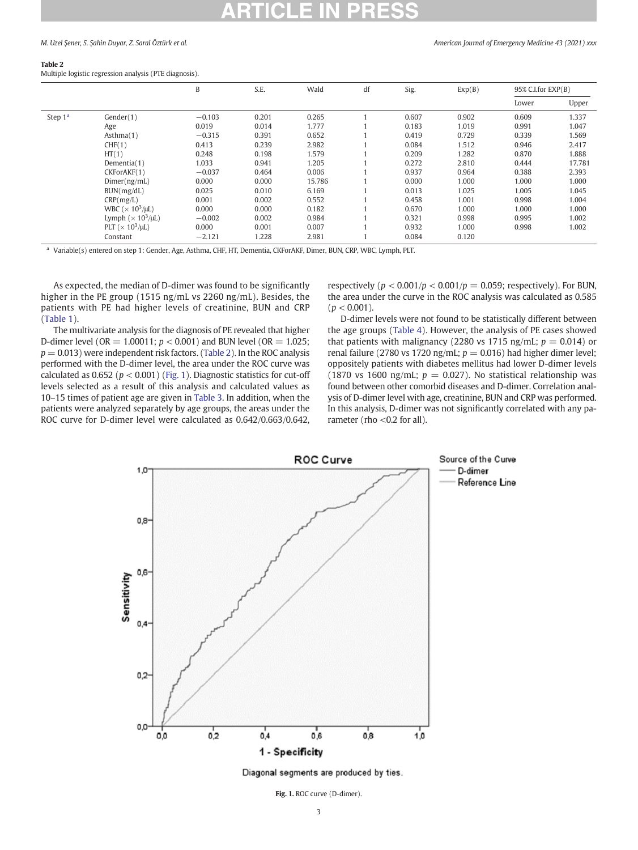### M. Uzel Sener, S. Sahin Duyar, Z. Saral Öztürk et al. American Journal of Emergency Medicine 43 (2021) xxx

### Table 2

Multiple logistic regression analysis (PTE diagnosis).

|           |                                       | B        | S.E.  | Wald   | df | Sig.  | Exp(B) | 95% C.I.for EXP(B) |        |
|-----------|---------------------------------------|----------|-------|--------|----|-------|--------|--------------------|--------|
|           |                                       |          |       |        |    |       |        | Lower              | Upper  |
| Step $1a$ | Gender(1)                             | $-0.103$ | 0.201 | 0.265  |    | 0.607 | 0.902  | 0.609              | 1.337  |
|           | Age                                   | 0.019    | 0.014 | 1.777  |    | 0.183 | 1.019  | 0.991              | 1.047  |
|           | Asthma(1)                             | $-0.315$ | 0.391 | 0.652  |    | 0.419 | 0.729  | 0.339              | 1.569  |
|           | CHF(1)                                | 0.413    | 0.239 | 2.982  |    | 0.084 | 1.512  | 0.946              | 2.417  |
|           | HT(1)                                 | 0.248    | 0.198 | 1.579  |    | 0.209 | 1.282  | 0.870              | 1.888  |
|           | Dementia(1)                           | 1.033    | 0.941 | 1.205  |    | 0.272 | 2.810  | 0.444              | 17.781 |
|           | CKForAKF(1)                           | $-0.037$ | 0.464 | 0.006  |    | 0.937 | 0.964  | 0.388              | 2.393  |
|           | Dimer(ng/mL)                          | 0.000    | 0.000 | 15.786 |    | 0.000 | 1.000  | 1.000              | 1.000  |
|           | BUN(mg/dL)                            | 0.025    | 0.010 | 6.169  |    | 0.013 | 1.025  | 1.005              | 1.045  |
|           | CRP(mg/L)                             | 0.001    | 0.002 | 0.552  |    | 0.458 | 1.001  | 0.998              | 1.004  |
|           | WBC ( $\times$ 10 <sup>3</sup> /µL)   | 0.000    | 0.000 | 0.182  |    | 0.670 | 1.000  | 1.000              | 1.000  |
|           | Lymph ( $\times$ 10 <sup>3</sup> /µL) | $-0.002$ | 0.002 | 0.984  |    | 0.321 | 0.998  | 0.995              | 1.002  |
|           | PLT ( $\times$ 10 <sup>3</sup> /µL)   | 0.000    | 0.001 | 0.007  |    | 0.932 | 1.000  | 0.998              | 1.002  |
|           | Constant                              | $-2.121$ | 1.228 | 2.981  |    | 0.084 | 0.120  |                    |        |

<sup>a</sup> Variable(s) entered on step 1: Gender, Age, Asthma, CHF, HT, Dementia, CKForAKF, Dimer, BUN, CRP, WBC, Lymph, PLT.

As expected, the median of D-dimer was found to be significantly higher in the PE group (1515 ng/mL vs 2260 ng/mL). Besides, the patients with PE had higher levels of creatinine, BUN and CRP ([Table 1](#page-1-0)).

The multivariate analysis for the diagnosis of PE revealed that higher D-dimer level (OR = 1.00011;  $p < 0.001$ ) and BUN level (OR = 1.025;  $p = 0.013$ ) were independent risk factors. (Table 2). In the ROC analysis performed with the D-dimer level, the area under the ROC curve was calculated as 0.652 ( $p < 0.001$ ) (Fig. 1). Diagnostic statistics for cut-off levels selected as a result of this analysis and calculated values as 10–15 times of patient age are given in [Table 3](#page-3-0). In addition, when the patients were analyzed separately by age groups, the areas under the ROC curve for D-dimer level were calculated as 0.642/0.663/0.642,

respectively ( $p < 0.001/p < 0.001/p = 0.059$ ; respectively). For BUN, the area under the curve in the ROC analysis was calculated as 0.585  $(p < 0.001)$ .

D-dimer levels were not found to be statistically different between the age groups [\(Table 4\)](#page-3-0). However, the analysis of PE cases showed that patients with malignancy (2280 vs 1715 ng/mL;  $p = 0.014$ ) or renal failure (2780 vs 1720 ng/mL;  $p = 0.016$ ) had higher dimer level; oppositely patients with diabetes mellitus had lower D-dimer levels (1870 vs 1600 ng/mL;  $p = 0.027$ ). No statistical relationship was found between other comorbid diseases and D-dimer. Correlation analysis of D-dimer level with age, creatinine, BUN and CRP was performed. In this analysis, D-dimer was not significantly correlated with any parameter (rho <0.2 for all).



Diagonal segments are produced by ties.

Fig. 1. ROC curve (D-dimer).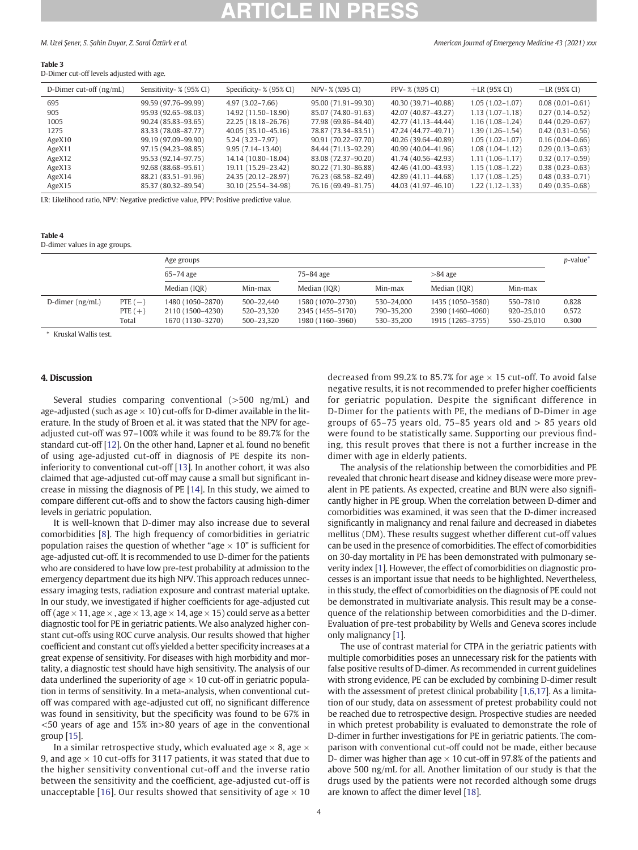<span id="page-3-0"></span>M. Uzel Şener, S. Şahin Duyar, Z. Saral Öztürk et al. American Journal of Emergency Medicine 43 (2021) xxx

### Table 3

D-Dimer cut-off levels adjusted with age.

| D-Dimer cut-off (ng/mL) | Sensitivity- % (95% CI) | Specificity- % (95% CI) | NPV- % (%95 CI)     | PPV- % (%95 CI)     | $+LR$ (95% CI)      | $-LR$ (95% CI)      |
|-------------------------|-------------------------|-------------------------|---------------------|---------------------|---------------------|---------------------|
| 695                     | 99.59 (97.76-99.99)     | $4.97(3.02 - 7.66)$     | 95.00 (71.91-99.30) | 40.30 (39.71-40.88) | $1.05(1.02 - 1.07)$ | $0.08(0.01 - 0.61)$ |
| 905                     | 95.93 (92.65–98.03)     | 14.92 (11.50-18.90)     | 85.07 (74.80-91.63) | 42.07 (40.87-43.27) | $1.13(1.07-1.18)$   | $0.27(0.14 - 0.52)$ |
| 1005                    | 90.24 (85.83–93.65)     | 22.25 (18.18–26.76)     | 77.98 (69.86-84.40) | 42.77 (41.13-44.44) | $1.16(1.08-1.24)$   | $0.44(0.29 - 0.67)$ |
| 1275                    | 83.33 (78.08-87.77)     | 40.05 (35.10-45.16)     | 78.87 (73.34-83.51) | 47.24 (44.77-49.71) | $1.39(1.26 - 1.54)$ | $0.42(0.31-0.56)$   |
| AgeX10                  | 99.19 (97.09–99.90)     | $5,24$ (3,23-7,97)      | 90.91 (70.22-97.70) | 40.26 (39.64-40.89) | $1.05(1.02 - 1.07)$ | $0.16(0.04 - 0.66)$ |
| AgeX11                  | 97.15 (94.23–98.85)     | $9.95(7.14 - 13.40)$    | 84.44 (71.13-92.29) | 40.99 (40.04-41.96) | $1.08(1.04-1.12)$   | $0.29(0.13 - 0.63)$ |
| AgeX12                  | 95.53 (92.14–97.75)     | 14.14 (10.80-18.04)     | 83.08 (72.37-90.20) | 41.74 (40.56–42.93) | $1.11(1.06-1.17)$   | $0.32(0.17-0.59)$   |
| AgeX13                  | 92.68 (88.68–95.61)     | 19.11 (15.29–23.42)     | 80.22 (71.30-86.88) | 42.46 (41.00-43.93) | $1.15(1.08-1.22)$   | $0.38(0.23 - 0.63)$ |
| AgeX14                  | 88.21 (83.51-91.96)     | 24.35 (20.12-28.97)     | 76.23 (68.58-82.49) | 42.89 (41.11-44.68) | $1.17(1.08-1.25)$   | $0.48(0.33 - 0.71)$ |
| AgeX15                  | 85.37 (80.32-89.54)     | 30.10 (25.54-34-98)     | 76.16 (69.49-81.75) | 44.03 (41.97-46.10) | $1.22(1.12-1.33)$   | $0.49(0.35 - 0.68)$ |

LR: Likelihood ratio, NPV: Negative predictive value, PPV: Positive predictive value.

### Table 4

D-dimer values in age groups.

|                   |                                 | Age groups                                               |                                        |                                                          |                                        |                                                          |                                      |                         |
|-------------------|---------------------------------|----------------------------------------------------------|----------------------------------------|----------------------------------------------------------|----------------------------------------|----------------------------------------------------------|--------------------------------------|-------------------------|
|                   |                                 | 65–74 age                                                |                                        | 75-84 age                                                |                                        | $>84$ age                                                |                                      |                         |
|                   |                                 | Median (IQR)                                             | Min-max                                | Median (IQR)                                             | Min-max                                | Median (IQR)                                             | Min-max                              |                         |
| D-dimer $(ng/mL)$ | PTE $(-)$<br>PTE $(+)$<br>Total | 1480 (1050–2870)<br>2110 (1500-4230)<br>1670 (1130–3270) | 500-22,440<br>520-23,320<br>500-23,320 | 1580 (1070-2730)<br>2345 (1455–5170)<br>1980 (1160-3960) | 530-24,000<br>790-35,200<br>530-35,200 | 1435 (1050-3580)<br>2390 (1460-4060)<br>1915 (1265–3755) | 550-7810<br>920-25,010<br>550-25,010 | 0.828<br>0.572<br>0.300 |

⁎ Kruskal Wallis test.

### 4. Discussion

Several studies comparing conventional (>500 ng/mL) and age-adjusted (such as age  $\times$  10) cut-offs for D-dimer available in the literature. In the study of Broen et al. it was stated that the NPV for ageadjusted cut-off was 97–100% while it was found to be 89.7% for the standard cut-off [[12\]](#page-4-0). On the other hand, Lapner et al. found no benefit of using age-adjusted cut-off in diagnosis of PE despite its noninferiority to conventional cut-off [\[13](#page-4-0)]. In another cohort, it was also claimed that age-adjusted cut-off may cause a small but significant increase in missing the diagnosis of PE [[14\]](#page-4-0). In this study, we aimed to compare different cut-offs and to show the factors causing high-dimer levels in geriatric population.

It is well-known that D-dimer may also increase due to several comorbidities [[8](#page-4-0)]. The high frequency of comorbidities in geriatric population raises the question of whether "age  $\times$  10" is sufficient for age-adjusted cut-off. It is recommended to use D-dimer for the patients who are considered to have low pre-test probability at admission to the emergency department due its high NPV. This approach reduces unnecessary imaging tests, radiation exposure and contrast material uptake. In our study, we investigated if higher coefficients for age-adjusted cut off (age  $\times$  11, age  $\times$  , age  $\times$  13, age  $\times$  14, age  $\times$  15) could serve as a better diagnostic tool for PE in geriatric patients. We also analyzed higher constant cut-offs using ROC curve analysis. Our results showed that higher coefficient and constant cut offs yielded a better specificity increases at a great expense of sensitivity. For diseases with high morbidity and mortality, a diagnostic test should have high sensitivity. The analysis of our data underlined the superiority of age  $\times$  10 cut-off in geriatric population in terms of sensitivity. In a meta-analysis, when conventional cutoff was compared with age-adjusted cut off, no significant difference was found in sensitivity, but the specificity was found to be 67% in <50 years of age and 15% in>80 years of age in the conventional group [\[15\]](#page-4-0).

In a similar retrospective study, which evaluated age  $\times$  8, age  $\times$ 9, and age  $\times$  10 cut-offs for 3117 patients, it was stated that due to the higher sensitivity conventional cut-off and the inverse ratio between the sensitivity and the coefficient, age-adjusted cut-off is unacceptable [[16](#page-4-0)]. Our results showed that sensitivity of age  $\times$  10 decreased from 99.2% to 85.7% for age  $\times$  15 cut-off. To avoid false negative results, it is not recommended to prefer higher coefficients for geriatric population. Despite the significant difference in D-Dimer for the patients with PE, the medians of D-Dimer in age groups of 65–75 years old, 75–85 years old and > 85 years old were found to be statistically same. Supporting our previous finding, this result proves that there is not a further increase in the dimer with age in elderly patients.

The analysis of the relationship between the comorbidities and PE revealed that chronic heart disease and kidney disease were more prevalent in PE patients. As expected, creatine and BUN were also significantly higher in PE group. When the correlation between D-dimer and comorbidities was examined, it was seen that the D-dimer increased significantly in malignancy and renal failure and decreased in diabetes mellitus (DM). These results suggest whether different cut-off values can be used in the presence of comorbidities. The effect of comorbidities on 30-day mortality in PE has been demonstrated with pulmonary severity index [\[1](#page-4-0)]. However, the effect of comorbidities on diagnostic processes is an important issue that needs to be highlighted. Nevertheless, in this study, the effect of comorbidities on the diagnosis of PE could not be demonstrated in multivariate analysis. This result may be a consequence of the relationship between comorbidities and the D-dimer. Evaluation of pre-test probability by Wells and Geneva scores include only malignancy [[1](#page-4-0)].

The use of contrast material for CTPA in the geriatric patients with multiple comorbidities poses an unnecessary risk for the patients with false positive results of D-dimer. As recommended in current guidelines with strong evidence, PE can be excluded by combining D-dimer result with the assessment of pretest clinical probability [\[1,6,17\]](#page-4-0). As a limitation of our study, data on assessment of pretest probability could not be reached due to retrospective design. Prospective studies are needed in which pretest probability is evaluated to demonstrate the role of D-dimer in further investigations for PE in geriatric patients. The comparison with conventional cut-off could not be made, either because D- dimer was higher than age  $\times$  10 cut-off in 97.8% of the patients and above 500 ng/mL for all. Another limitation of our study is that the drugs used by the patients were not recorded although some drugs are known to affect the dimer level [[18\]](#page-4-0).